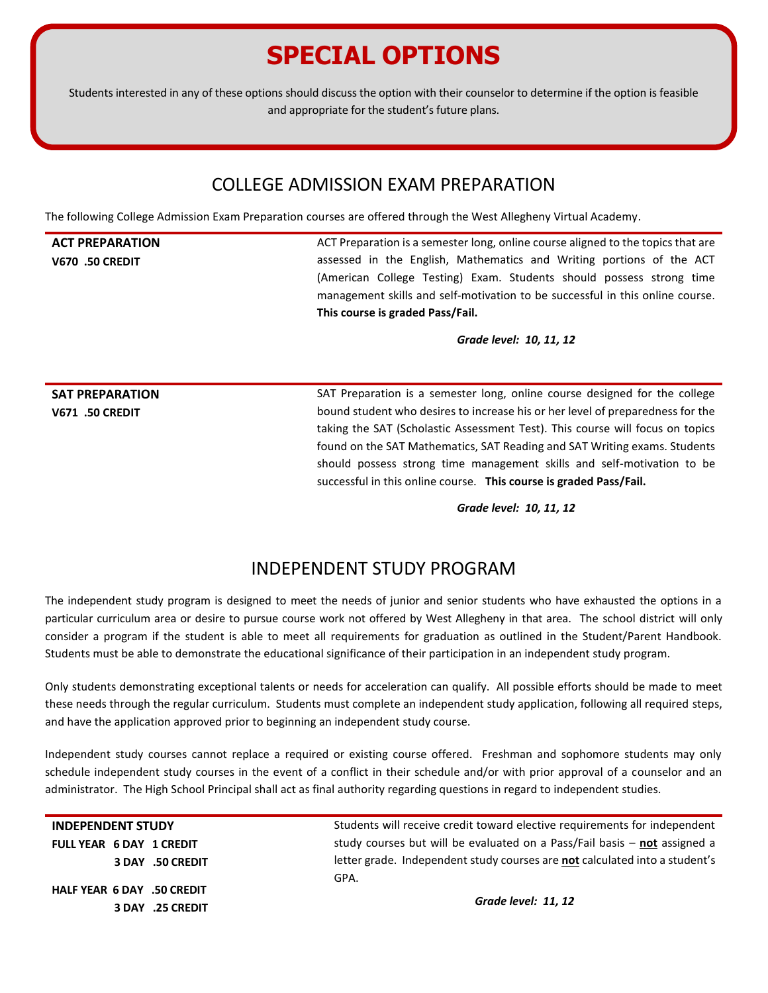## **SPECIAL OPTIONS**

Students interested in any of these options should discuss the option with their counselor to determine if the option is feasible and appropriate for the student's future plans.

#### COLLEGE ADMISSION EXAM PREPARATION

The following College Admission Exam Preparation courses are offered through the West Allegheny Virtual Academy.

#### **ACT PREPARATION**

**V670 .50 CREDIT**

ACT Preparation is a semester long, online course aligned to the topics that are assessed in the English, Mathematics and Writing portions of the ACT (American College Testing) Exam. Students should possess strong time management skills and self-motivation to be successful in this online course. **This course is graded Pass/Fail.**

*Grade level: 10, 11, 12*

**SAT PREPARATION V671 .50 CREDIT**

SAT Preparation is a semester long, online course designed for the college bound student who desires to increase his or her level of preparedness for the taking the SAT (Scholastic Assessment Test). This course will focus on topics found on the SAT Mathematics, SAT Reading and SAT Writing exams. Students should possess strong time management skills and self-motivation to be successful in this online course. **This course is graded Pass/Fail.**

*Grade level: 10, 11, 12*

### INDEPENDENT STUDY PROGRAM

The independent study program is designed to meet the needs of junior and senior students who have exhausted the options in a particular curriculum area or desire to pursue course work not offered by West Allegheny in that area. The school district will only consider a program if the student is able to meet all requirements for graduation as outlined in the Student/Parent Handbook. Students must be able to demonstrate the educational significance of their participation in an independent study program.

Only students demonstrating exceptional talents or needs for acceleration can qualify. All possible efforts should be made to meet these needs through the regular curriculum. Students must complete an independent study application, following all required steps, and have the application approved prior to beginning an independent study course.

Independent study courses cannot replace a required or existing course offered. Freshman and sophomore students may only schedule independent study courses in the event of a conflict in their schedule and/or with prior approval of a counselor and an administrator. The High School Principal shall act as final authority regarding questions in regard to independent studies.

**INDEPENDENT STUDY FULL YEAR 6 DAY 1 CREDIT 3 DAY .50 CREDIT HALF YEAR 6 DAY .50 CREDIT 3 DAY .25 CREDIT**

Students will receive credit toward elective requirements for independent study courses but will be evaluated on a Pass/Fail basis – **not** assigned a letter grade. Independent study courses are **not** calculated into a student's GPA.

*Grade level: 11, 12*